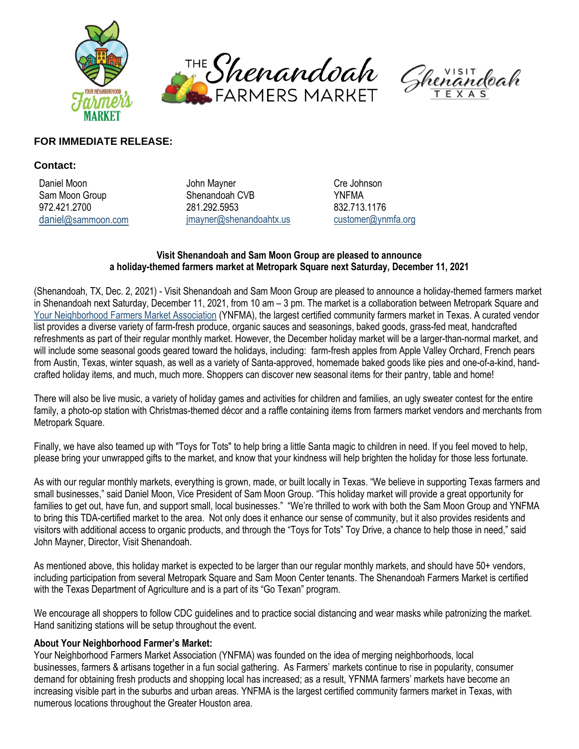





# **FOR IMMEDIATE RELEASE:**

### **Contact:**

Daniel Moon **Daniel Moon** John Mayner **Cre** Johnson Cre Johnson Sam Moon Group Shenandoah CVB YNFMA 972.421.2700 281.292.5953 832.713.1176 [daniel](mailto:daniel@sammoon.com)[@sammoon.com](mailto:daniel@sammoon.com) [jmayner@shenandoahtx.us](mailto:jmayner@shenandoahtx.us) [customer@ynmfa.org](mailto:customer@ynmfa.org)

## **Visit Shenandoah and Sam Moon Group are pleased to announce a holiday-themed farmers market at Metropark Square next Saturday, December 11, 2021**

(Shenandoah, TX, Dec. 2, 2021) - Visit Shenandoah and Sam Moon Group are pleased to announce a holiday-themed farmers market in Shenandoah next Saturday, December 11, 2021, from 10 am – 3 pm. The market is a collaboration between Metropark Square and [Your Neighborhood Farmers Market Association](https://ynfma.org/become-a-vendor/) (YNFMA), the largest certified community farmers market in Texas. A curated vendor list provides a diverse variety of farm-fresh produce, organic sauces and seasonings, baked goods, grass-fed meat, handcrafted refreshments as part of their regular monthly market. However, the December holiday market will be a larger-than-normal market, and will include some seasonal goods geared toward the holidays, including: farm-fresh apples from Apple Valley Orchard, French pears from Austin, Texas, winter squash, as well as a variety of Santa-approved, homemade baked goods like pies and one-of-a-kind, handcrafted holiday items, and much, much more. Shoppers can discover new seasonal items for their pantry, table and home!

There will also be live music, a variety of holiday games and activities for children and families, an ugly sweater contest for the entire family, a photo-op station with Christmas-themed décor and a raffle containing items from farmers market vendors and merchants from Metropark Square.

Finally, we have also teamed up with "Toys for Tots" to help bring a little Santa magic to children in need. If you feel moved to help, please bring your unwrapped gifts to the market, and know that your kindness will help brighten the holiday for those less fortunate.

As with our regular monthly markets, everything is grown, made, or built locally in Texas. "We believe in supporting Texas farmers and small businesses," said Daniel Moon, Vice President of Sam Moon Group. "This holiday market will provide a great opportunity for families to get out, have fun, and support small, local businesses." "We're thrilled to work with both the Sam Moon Group and YNFMA to bring this TDA-certified market to the area. Not only does it enhance our sense of community, but it also provides residents and visitors with additional access to organic products, and through the "Toys for Tots" Toy Drive, a chance to help those in need," said John Mayner, Director, Visit Shenandoah.

As mentioned above, this holiday market is expected to be larger than our regular monthly markets, and should have 50+ vendors, including participation from several Metropark Square and Sam Moon Center tenants. The Shenandoah Farmers Market is certified with the Texas Department of Agriculture and is a part of its "Go Texan" program.

We encourage all shoppers to follow CDC guidelines and to practice social distancing and wear masks while patronizing the market. Hand sanitizing stations will be setup throughout the event.

# **About Your Neighborhood Farmer's Market:**

Your Neighborhood Farmers Market Association (YNFMA) was founded on the idea of merging neighborhoods, local businesses, farmers & artisans together in a fun social gathering. As Farmers' markets continue to rise in popularity, consumer demand for obtaining fresh products and shopping local has increased; as a result, YFNMA farmers' markets have become an increasing visible part in the suburbs and urban areas. YNFMA is the largest certified community farmers market in Texas, with numerous locations throughout the Greater Houston area.